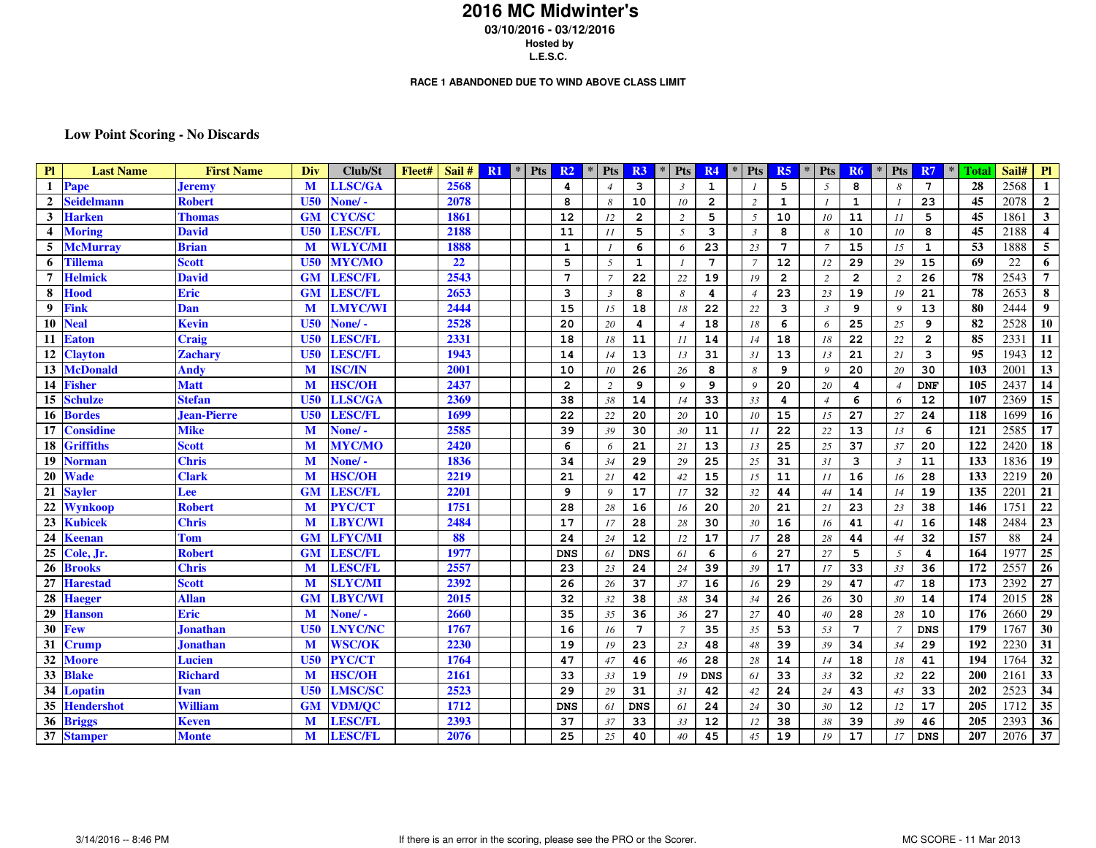## **2016 MC Midwinter's 03/10/2016 - 03/12/2016 Hosted by**

**L.E.S.C.**

#### **RACE 1 ABANDONED DUE TO WIND ABOVE CLASS LIMIT**

### **Low Point Scoring - No Discards**

| P1<br><b>Last Name</b>            | <b>First Name</b>  | Div             | Club/St        | Fleet# | Sail#       | R1 | <b>Pts</b><br>$\ast$ | R <sub>2</sub>  | $\ast$ | <b>Pts</b>     | R3                      | <b>Pts</b><br>$\ast$ | R <sub>4</sub>    | <b>Pts</b>     | R <sub>5</sub>  | <b>Pts</b>     | R <sub>6</sub>  | $\ast$ | <b>Pts</b>               | R7             | Total<br>$\ast$ | Sail#             | P1                      |
|-----------------------------------|--------------------|-----------------|----------------|--------|-------------|----|----------------------|-----------------|--------|----------------|-------------------------|----------------------|-------------------|----------------|-----------------|----------------|-----------------|--------|--------------------------|----------------|-----------------|-------------------|-------------------------|
| $\mathbf{1}$<br>Pape              | <b>Jeremy</b>      | M               | <b>LLSC/GA</b> |        | 2568        |    |                      | 4               |        | $\overline{4}$ | 3                       | $\mathfrak{Z}$       | $\mathbf{1}$      |                | 5               | 5              | 8               |        | 8                        | 7              | 28              | 2568              | 1                       |
| $\mathbf{2}$<br><b>Seidelmann</b> | <b>Robert</b>      | U <sub>50</sub> | None/-         |        | 2078        |    |                      | 8               |        | 8              | 10                      | 10                   | $\overline{2}$    | 2              | $\mathbf{1}$    |                | $\mathbf 1$     |        |                          | 23             | 45              | 2078              | $\overline{2}$          |
| 3<br>Harken                       | Thomas             | <b>GM</b>       | <b>CYC/SC</b>  |        | <b>1861</b> |    |                      | 12              |        | 12             | $\overline{\mathbf{2}}$ | 2                    | 5                 | 5              | 10              | 10             | 11              |        | II                       | 5              | 45              | 1861              | $3^{\circ}$             |
| <b>Moring</b><br>4                | <b>David</b>       | U50             | <b>LESC/FL</b> |        | 2188        |    |                      | 11              |        | II             | 5                       | 5                    | 3                 | $\mathfrak{Z}$ | 8               | -8             | 10              |        | 10                       | 8              | 45              | 2188              | $\overline{\mathbf{4}}$ |
| 5<br>McMurrav                     | Brian              | M               | <b>WLYC/MI</b> |        | 1888        |    |                      | $\mathbf{1}$    |        |                | 6                       | 6                    | 23                | 23             | $\overline{7}$  | $\overline{7}$ | 15              |        | 15                       | $\mathbf{1}$   | 53              | 1888              | 5 <sup>5</sup>          |
| 6<br>Tillema                      | Scott              | U50             | <b>MYC/MO</b>  |        | 22          |    |                      | 5               |        | 5              | 1                       | $\boldsymbol{l}$     | $7\phantom{.0}$   | $\overline{7}$ | 12              | 12             | 29              |        | 29                       | 15             | 69              | 22                | 6                       |
| 7<br>Helmick                      | David              | <b>GM</b>       | <b>LESC/FL</b> |        | 2543        |    |                      | $7\phantom{.0}$ |        | $\overline{7}$ | 22                      | 22                   | 19                | 19             | $\overline{a}$  | 2              | $\overline{2}$  |        | 2                        | 26             | 78              | 2543              | $\overline{7}$          |
| 8<br>Hood                         | Eric               | <b>GM</b>       | <b>LESC/FL</b> |        | 2653        |    |                      | 3               |        | $\mathfrak{Z}$ | 8                       | 8                    | 4                 | $\overline{4}$ | 23              | 23             | 19              |        | 19                       | 21             | 78              | 2653              | 8                       |
| 9<br>Fink                         | Dan                | M               | <b>LMYC/WI</b> |        | 2444        |    |                      | 15              |        | 15             | 18                      | 18                   | 22                | 22             | 3               | $\overline{3}$ | 9               |        | 9                        | 13             | 80              | 2444              | 9                       |
| 10<br>Neal                        | Kevin              | U <sub>50</sub> | None/-         |        | 2528        |    |                      | 20              |        | 20             | 4                       | $\overline{4}$       | 18                | 18             | 6               | 6              | 25              |        | 25                       | 9              | 82              | 2528              | 10                      |
| 11<br>Eaton                       | <b>Craig</b>       | U <sub>50</sub> | <b>LESC/FL</b> |        | 2331        |    |                      | 18              |        | 18             | 11                      | II                   | 14                | 14             | 18              | 18             | 22              |        | 22                       | $\overline{a}$ | 85              | 2331              | 11                      |
| 12<br>Clayton                     | <b>Zachary</b>     | U50             | <b>LESC/FL</b> |        | 1943        |    |                      | 14              |        | 14             | 13                      | 13                   | 31                | 31             | 13              | 13             | 21              |        | 21                       | 3              | 95              | 1943              | 12                      |
| 13<br><b>McDonald</b>             | Andy               | M               | <b>ISC/IN</b>  |        | 2001        |    |                      | 10              |        | 10             | 26                      | 26                   | 8                 | 8              | 9               | 9              | 20              |        | 20                       | 30             | 103             | 2001              | 13                      |
| <b>Fisher</b><br>14               | <b>Matt</b>        | M               | <b>HSC/OH</b>  |        | 2437        |    |                      | $\overline{a}$  |        | $\overline{c}$ | 9                       | 9                    | 9                 | $\overline{9}$ | 20              | 20             | 4               |        | $\overline{\mathcal{A}}$ | <b>DNF</b>     | 105             | 2437              | 14                      |
| 15<br><b>Schulze</b>              | Stefan             | U50             | <b>LLSC/GA</b> |        | 2369        |    |                      | 38              |        | 38             | 14                      | 14                   | 33                | 33             | 4               | $\overline{4}$ | 6               |        | 6                        | 12             | 107             | 2369              | 15                      |
| Bordes<br>16                      | <b>Jean-Pierre</b> | U50             | <b>LESC/FL</b> |        | 1699        |    |                      | 22              |        | 22             | 20                      | 20                   | 10                | 10             | 15              | 15             | 27              |        | 27                       | 24             | 118             | 1699              | $\overline{16}$         |
| <b>Considine</b><br>17            | Mike               | M               | None/-         |        | 2585        |    |                      | 39              |        | 39             | 30                      | 30                   | 11                | II             | 22              | 22             | 13              |        | 13                       | 6              | 121             | 2585              | 17                      |
| 18<br>Griffiths                   | Scott              | M               | <b>MYC/MO</b>  |        | 2420        |    |                      | 6               |        | 6              | 21                      | 2I                   | 13                | 13             | 25              | 25             | 37              |        | 37                       | 20             | 122             | 2420              | 18                      |
| 19<br>Norman                      | <b>Chris</b>       | M               | None/-         |        | 1836        |    |                      | 34              |        | 34             | 29                      | 29                   | 25                | 25             | 31              | 31             | 3               |        | $\mathfrak{Z}$           | 11             | 133             | 1836              | $\overline{19}$         |
| 20<br>Wade                        | <b>Clark</b>       | M               | <b>HSC/OH</b>  |        | 2219        |    |                      | 21              |        | 21             | 42                      | 42                   | 15                | 15             | 11              | II             | 16              |        | 16                       | 28             | 133             | 2219              | 20                      |
| 21<br><b>Savler</b>               | Lee                | <b>GM</b>       | <b>LESC/FL</b> |        | 2201        |    |                      | 9               |        | 9              | 17                      | 17                   | 32                | 32             | 44              | 44             | 14              |        | 14                       | 19             | 135             | 2201              | 21                      |
| 22<br>Wynkoop                     | Robert             | M               | <b>PYC/CT</b>  |        | 1751        |    |                      | 28              |        | 28             | 16                      | 16                   | 20                | 20             | 21              | 21             | 23              |        | 23                       | 38             | 146             | 1751              | $22\,$                  |
| 23<br>Kubicek                     | <b>Chris</b>       | M               | <b>LBYC/WI</b> |        | 2484        |    |                      | 17              |        | 17             | 28                      | 28                   | 30                | 30             | 16              | 16             | 41              |        | 41                       | 16             | 148             | 2484              | 23                      |
| 24<br>Keenan                      | Tom                | <b>GM</b>       | <b>LFYC/MI</b> |        | 88          |    |                      | 24              |        | 24             | 12                      | 12                   | 17                | 17             | 28              | 28             | 44              |        | 44                       | 32             | 157             | 88                | ${\bf 24}$              |
| 25<br>Cole, Jr.                   | <b>Robert</b>      | <b>GM</b>       | <b>LESC/FL</b> |        | 1977        |    |                      | <b>DNS</b>      |        | 61             | <b>DNS</b>              | 61                   | 6                 | 6              | $\overline{27}$ | 27             | 5               |        | 5                        | 4              | 164             | 1977              | 25                      |
| 26<br><b>Brooks</b>               | Chris              | M               | <b>LESC/FL</b> |        | 2557        |    |                      | 23              |        | 23             | 24                      | 24                   | 39                | 39             | 17              | 17             | 33              |        | 33                       | 36             | 172             | 2557              | 26                      |
| 27<br>Harestad                    | <b>Scott</b>       | M               | <b>SLYC/MI</b> |        | 2392        |    |                      | 26              |        | 26             | 37                      | 37                   | 16                | 16             | 29              | 29             | 47              |        | 47                       | 18             | 173             | 2392              | 27                      |
| 28<br><b>Haeger</b>               | <b>Allan</b>       | <b>GM</b>       | <b>LBYC/WI</b> |        | 2015        |    |                      | 32              |        | 32             | 38                      | 38                   | 34                | 34             | 26              | 26             | 30              |        | 30                       | 14             | 174             | $\overline{2015}$ | $\overline{28}$         |
| 29<br><b>Hanson</b>               | <b>Eric</b>        | M               | None/-         |        | 2660        |    |                      | 35              |        | 35             | 36                      | 36                   | 27                | 27             | 40              | 40             | 28              |        | 28                       | 10             | 176             | 2660              | 29                      |
| 30<br>Few                         | Jonathan           | U50             | <b>LNYC/NC</b> |        | 1767        |    |                      | 16              |        | 16             | $7\phantom{.0}$         | $\overline{7}$       | 35                | 35             | 53              | 53             | $7\phantom{.0}$ |        | 7                        | <b>DNS</b>     | 179             | 1767              | 30                      |
| 31<br>Crump                       | Jonathan           | M               | <b>WSC/OK</b>  |        | 2230        |    |                      | 19              |        | 19             | 23                      | 23                   | 48                | 48             | 39              | 39             | 34              |        | 34                       | 29             | 192             | 2230              | 31                      |
| 32<br><b>Moore</b>                | Lucien             | U50             | <b>PYC/CT</b>  |        | 1764        |    |                      | 47              |        | 47             | 46                      | 46                   | 28                | 28             | 14              | 14             | 18              |        | 18                       | 41             | 194             | 1764              | 32                      |
| 33<br><b>Blake</b>                | <b>Richard</b>     | M               | <b>HSC/OH</b>  |        | 2161        |    |                      | 33              |        | 33             | 19                      | 19                   | <b>DNS</b>        | 61             | 33              | 33             | 32              |        | 32                       | 22             | 200             | 2161              | $\overline{33}$         |
| 34<br>Lopatin                     | Ivan               | U <sub>50</sub> | <b>LMSC/SC</b> |        | 2523        |    |                      | 29              |        | 29             | 31                      | 31                   | 42                | 42             | 24              | 24             | 43              |        | 43                       | 33             | 202             | 2523              | 34                      |
| 35<br><b>Hendershot</b>           | William            | <b>GM</b>       | <b>VDM/QC</b>  |        | 1712        |    |                      | <b>DNS</b>      |        | 61             | <b>DNS</b>              | 61                   | 24                | 24             | 30              | 30             | 12              |        | 12                       | 17             | 205             | 1712              | $\overline{35}$         |
| 36<br><b>Briggs</b>               | Keven              | M               | <b>LESC/FL</b> |        | 2393        |    |                      | 37              |        | 37             | 33                      | 33                   | $12 \overline{ }$ | 12             | 38              | 38             | 39              |        | 39                       | 46             | 205             | 2393              | 36                      |
| 37<br><b>Stamper</b>              | <b>Monte</b>       | M               | <b>LESC/FL</b> |        | 2076        |    |                      | 25              |        | 25             | 40                      | 40                   | 45                | 45             | 19              | 19             | 17              |        | 17                       | <b>DNS</b>     | 207             | 2076              | 37                      |